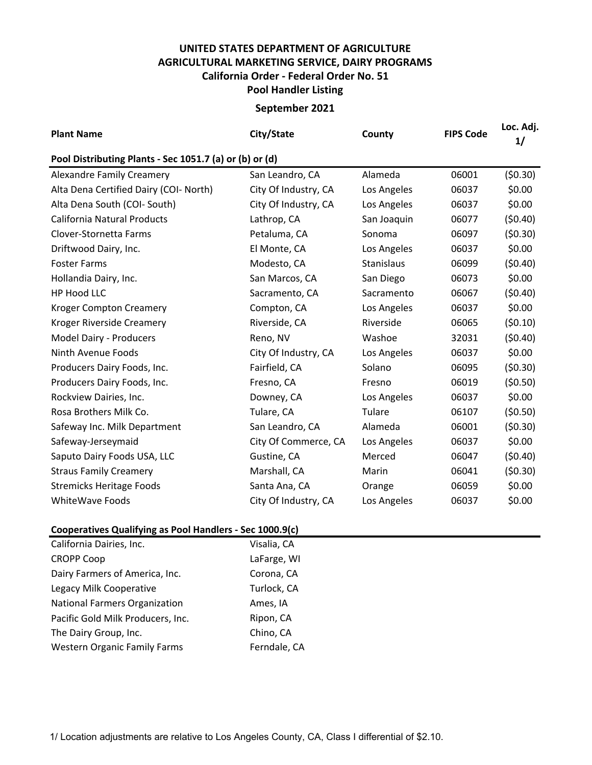## **UNITED STATES DEPARTMENT OF AGRICULTURE AGRICULTURAL MARKETING SERVICE, DAIRY PROGRAMS Pool Handler Listing California Order - Federal Order No. 51**

## **September 2021**

| <b>Plant Name</b>                                       | City/State           | County      | <b>FIPS Code</b> | Loc. Adj.<br>1/ |
|---------------------------------------------------------|----------------------|-------------|------------------|-----------------|
| Pool Distributing Plants - Sec 1051.7 (a) or (b) or (d) |                      |             |                  |                 |
| <b>Alexandre Family Creamery</b>                        | San Leandro, CA      | Alameda     | 06001            | (50.30)         |
| Alta Dena Certified Dairy (COI- North)                  | City Of Industry, CA | Los Angeles | 06037            | \$0.00          |
| Alta Dena South (COI- South)                            | City Of Industry, CA | Los Angeles | 06037            | \$0.00          |
| <b>California Natural Products</b>                      | Lathrop, CA          | San Joaquin | 06077            | (50.40)         |
| Clover-Stornetta Farms                                  | Petaluma, CA         | Sonoma      | 06097            | (50.30)         |
| Driftwood Dairy, Inc.                                   | El Monte, CA         | Los Angeles | 06037            | \$0.00          |
| <b>Foster Farms</b>                                     | Modesto, CA          | Stanislaus  | 06099            | (50.40)         |
| Hollandia Dairy, Inc.                                   | San Marcos, CA       | San Diego   | 06073            | \$0.00          |
| <b>HP Hood LLC</b>                                      | Sacramento, CA       | Sacramento  | 06067            | (50.40)         |
| <b>Kroger Compton Creamery</b>                          | Compton, CA          | Los Angeles | 06037            | \$0.00          |
| Kroger Riverside Creamery                               | Riverside, CA        | Riverside   | 06065            | (50.10)         |
| Model Dairy - Producers                                 | Reno, NV             | Washoe      | 32031            | (50.40)         |
| Ninth Avenue Foods                                      | City Of Industry, CA | Los Angeles | 06037            | \$0.00          |
| Producers Dairy Foods, Inc.                             | Fairfield, CA        | Solano      | 06095            | (50.30)         |
| Producers Dairy Foods, Inc.                             | Fresno, CA           | Fresno      | 06019            | (50.50)         |
| Rockview Dairies, Inc.                                  | Downey, CA           | Los Angeles | 06037            | \$0.00          |
| Rosa Brothers Milk Co.                                  | Tulare, CA           | Tulare      | 06107            | (50.50)         |
| Safeway Inc. Milk Department                            | San Leandro, CA      | Alameda     | 06001            | (50.30)         |
| Safeway-Jerseymaid                                      | City Of Commerce, CA | Los Angeles | 06037            | \$0.00          |
| Saputo Dairy Foods USA, LLC                             | Gustine, CA          | Merced      | 06047            | (50.40)         |
| <b>Straus Family Creamery</b>                           | Marshall, CA         | Marin       | 06041            | (50.30)         |
| <b>Stremicks Heritage Foods</b>                         | Santa Ana, CA        | Orange      | 06059            | \$0.00          |
| <b>WhiteWave Foods</b>                                  | City Of Industry, CA | Los Angeles | 06037            | \$0.00          |
| canavatives Qualifuing as Deal Hendleys - Cas 1000 0(s) |                      |             |                  |                 |

## **Cooperatives Qualifying as Pool Handlers - Sec 1000.9(c)**

| California Dairies, Inc.             | Visalia, CA  |
|--------------------------------------|--------------|
| <b>CROPP Coop</b>                    | LaFarge, WI  |
| Dairy Farmers of America, Inc.       | Corona, CA   |
| Legacy Milk Cooperative              | Turlock, CA  |
| <b>National Farmers Organization</b> | Ames, IA     |
| Pacific Gold Milk Producers, Inc.    | Ripon, CA    |
| The Dairy Group, Inc.                | Chino, CA    |
| <b>Western Organic Family Farms</b>  | Ferndale, CA |